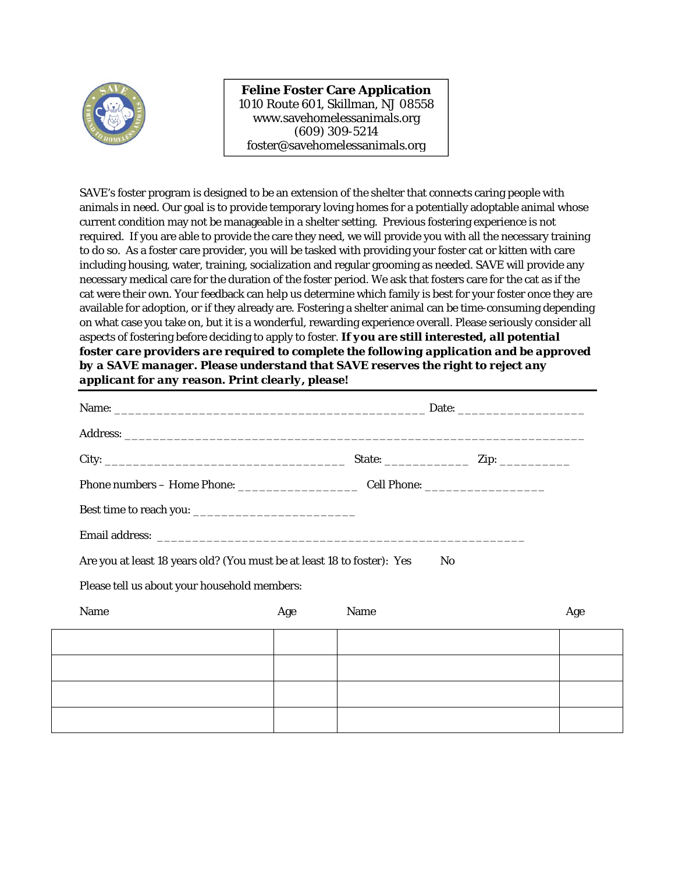

**Feline Foster Care Application**  1010 Route 601, Skillman, NJ 08558 www.savehomelessanimals.org (609) 309-5214 foster@savehomelessanimals.org

SAVE's foster program is designed to be an extension of the shelter that connects caring people with animals in need. Our goal is to provide temporary loving homes for a potentially adoptable animal whose current condition may not be manageable in a shelter setting. Previous fostering experience is not required. If you are able to provide the care they need, we will provide you with all the necessary training to do so. As a foster care provider, you will be tasked with providing your foster cat or kitten with care including housing, water, training, socialization and regular grooming as needed. SAVE will provide any necessary medical care for the duration of the foster period. We ask that fosters care for the cat as if the cat were their own. Your feedback can help us determine which family is best for your foster once they are available for adoption, or if they already are. Fostering a shelter animal can be time-consuming depending on what case you take on, but it is a wonderful, rewarding experience overall. Please seriously consider all aspects of fostering before deciding to apply to foster. *If you are still interested, all potential foster care providers are required to complete the following application and be approved by a SAVE manager. Please understand that SAVE reserves the right to reject any applicant for any reason. Print clearly, please!*

| Are you at least 18 years old? (You must be at least 18 to foster): Yes<br>N <sub>0</sub> |     |      |  |     |  |  |
|-------------------------------------------------------------------------------------------|-----|------|--|-----|--|--|
| Please tell us about your household members:                                              |     |      |  |     |  |  |
| Name                                                                                      | Age | Name |  | Age |  |  |
|                                                                                           |     |      |  |     |  |  |
|                                                                                           |     |      |  |     |  |  |
|                                                                                           |     |      |  |     |  |  |
|                                                                                           |     |      |  |     |  |  |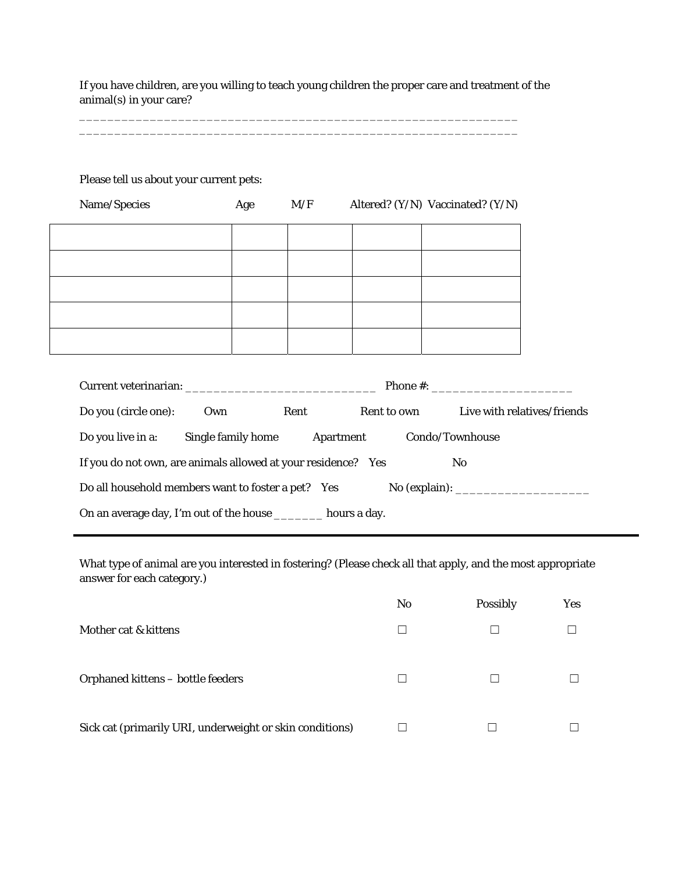If you have children, are you willing to teach young children the proper care and treatment of the animal(s) in your care?

\_\_\_\_\_\_\_\_\_\_\_\_\_\_\_\_\_\_\_\_\_\_\_\_\_\_\_\_\_\_\_\_\_\_\_\_\_\_\_\_\_\_\_\_\_\_\_\_\_\_\_\_\_\_\_\_\_\_\_\_\_\_

|                                                                       | Please tell us about your current pets:<br>Age | M/F | Altered? $(Y/N)$ Vaccinated? $(Y/N)$ |  |
|-----------------------------------------------------------------------|------------------------------------------------|-----|--------------------------------------|--|
| Name/Species                                                          |                                                |     |                                      |  |
|                                                                       |                                                |     |                                      |  |
|                                                                       |                                                |     |                                      |  |
|                                                                       |                                                |     |                                      |  |
|                                                                       |                                                |     |                                      |  |
|                                                                       |                                                |     |                                      |  |
|                                                                       |                                                |     |                                      |  |
|                                                                       |                                                |     |                                      |  |
|                                                                       |                                                |     |                                      |  |
| Do you (circle one): Own Rent Rent to own Live with relatives/friends |                                                |     |                                      |  |
| Do you live in a: Single family home Apartment Condo/Townhouse        |                                                |     |                                      |  |
|                                                                       |                                                |     | N <sub>0</sub>                       |  |
| If you do not own, are animals allowed at your residence? Yes         |                                                |     |                                      |  |
| Do all household members want to foster a pet? Yes                    |                                                |     |                                      |  |

What type of animal are you interested in fostering? (Please check all that apply, and the most appropriate answer for each category.)

|                                                          | No | Possibly | Yes |
|----------------------------------------------------------|----|----------|-----|
| Mother cat & kittens                                     |    |          |     |
| Orphaned kittens - bottle feeders                        |    |          |     |
| Sick cat (primarily URI, underweight or skin conditions) |    |          |     |